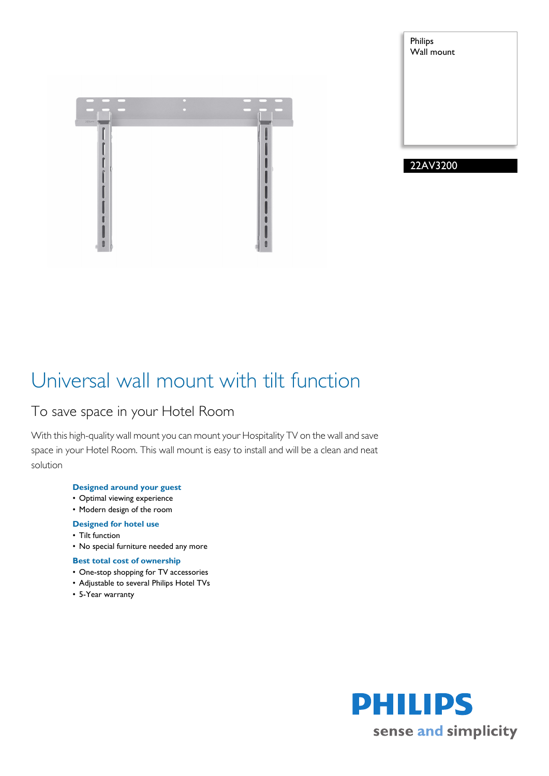



## Universal wall mount with tilt function

### To save space in your Hotel Room

With this high-quality wall mount you can mount your Hospitality TV on the wall and save space in your Hotel Room. This wall mount is easy to install and will be a clean and neat solution

### **Designed around your guest**

- Optimal viewing experience
- Modern design of the room

### **Designed for hotel use**

- Tilt function
- No special furniture needed any more

### **Best total cost of ownership**

- One-stop shopping for TV accessories
- Adjustable to several Philips Hotel TVs
- 5-Year warranty